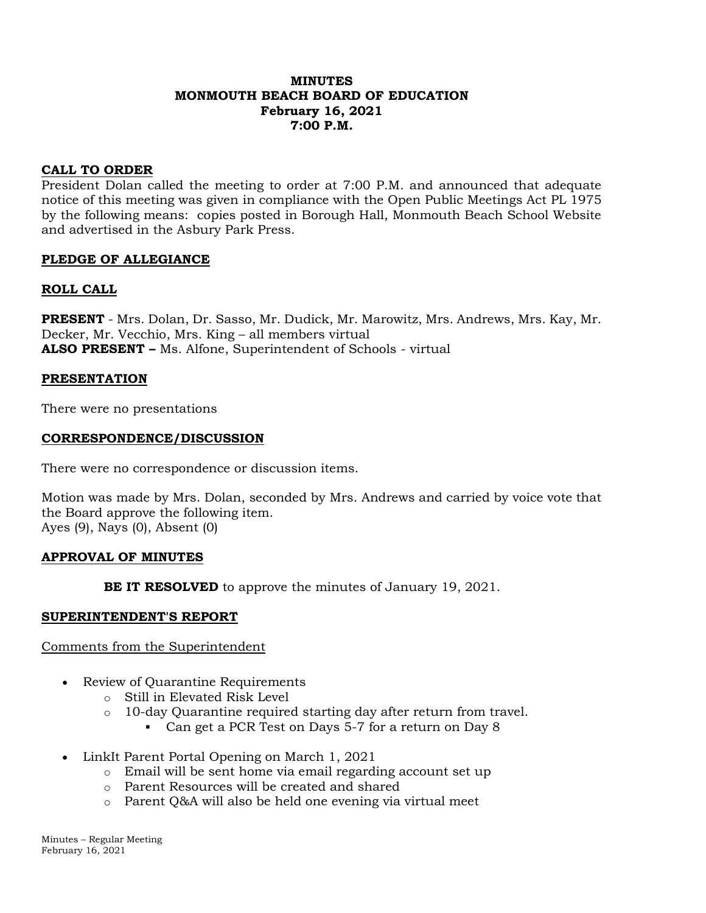# **MINUTES MONMOUTH BEACH BOARD OF EDUCATION February 16, 2021 7:00 P.M.**

# **CALL TO ORDER**

President Dolan called the meeting to order at 7:00 P.M. and announced that adequate notice of this meeting was given in compliance with the Open Public Meetings Act PL 1975 by the following means: copies posted in Borough Hall, Monmouth Beach School Website and advertised in the Asbury Park Press.

# **PLEDGE OF ALLEGIANCE**

# **ROLL CALL**

**PRESENT** - Mrs. Dolan, Dr. Sasso, Mr. Dudick, Mr. Marowitz, Mrs. Andrews, Mrs. Kay, Mr. Decker, Mr. Vecchio, Mrs. King – all members virtual **ALSO PRESENT –** Ms. Alfone, Superintendent of Schools - virtual

# **PRESENTATION**

There were no presentations

# **CORRESPONDENCE/DISCUSSION**

There were no correspondence or discussion items.

Motion was made by Mrs. Dolan, seconded by Mrs. Andrews and carried by voice vote that the Board approve the following item. Ayes (9), Nays (0), Absent (0)

# **APPROVAL OF MINUTES**

**BE IT RESOLVED** to approve the minutes of January 19, 2021.

# **SUPERINTENDENT'S REPORT**

# Comments from the Superintendent

- Review of Quarantine Requirements
	- o Still in Elevated Risk Level
	- o 10-day Quarantine required starting day after return from travel.
		- Can get a PCR Test on Days 5-7 for a return on Day 8
- LinkIt Parent Portal Opening on March 1, 2021
	- o Email will be sent home via email regarding account set up
	- o Parent Resources will be created and shared
	- o Parent Q&A will also be held one evening via virtual meet

Minutes – Regular Meeting February 16, 2021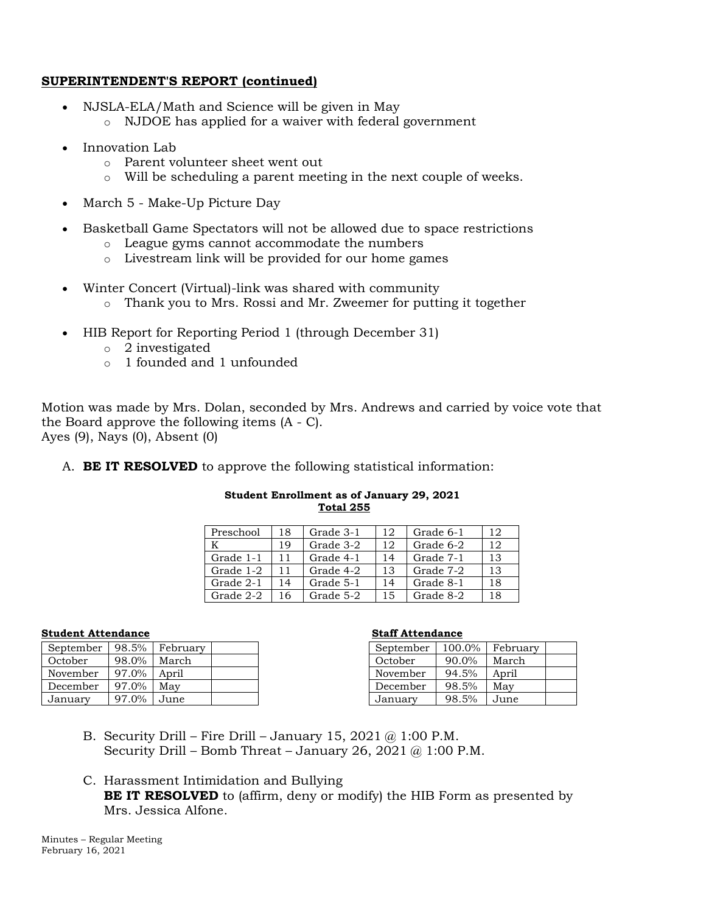# **SUPERINTENDENT'S REPORT (continued)**

- NJSLA-ELA/Math and Science will be given in May
	- o NJDOE has applied for a waiver with federal government
- Innovation Lab
	- o Parent volunteer sheet went out
	- o Will be scheduling a parent meeting in the next couple of weeks.
- March 5 Make-Up Picture Day
- Basketball Game Spectators will not be allowed due to space restrictions
	- o League gyms cannot accommodate the numbers
	- o Livestream link will be provided for our home games
- Winter Concert (Virtual)-link was shared with community
	- o Thank you to Mrs. Rossi and Mr. Zweemer for putting it together
- HIB Report for Reporting Period 1 (through December 31)
	- o 2 investigated
	- o 1 founded and 1 unfounded

Motion was made by Mrs. Dolan, seconded by Mrs. Andrews and carried by voice vote that the Board approve the following items (A - C). Ayes (9), Nays (0), Absent (0)

A. **BE IT RESOLVED** to approve the following statistical information:

| <b>Student Enrollment as of January 29, 2021</b> |  |
|--------------------------------------------------|--|
| <b>Total 255</b>                                 |  |

| Preschool | 18 | Grade 3-1 | 12 | Grade 6-1 | 12 |
|-----------|----|-----------|----|-----------|----|
|           | 19 | Grade 3-2 | 12 | Grade 6-2 | 12 |
| Grade 1-1 | 11 | Grade 4-1 | 14 | Grade 7-1 | 13 |
| Grade 1-2 | 11 | Grade 4-2 | 13 | Grade 7-2 | 13 |
| Grade 2-1 | 14 | Grade 5-1 | 14 | Grade 8-1 | 18 |
| Grade 2-2 | 16 | Grade 5-2 | 15 | Grade 8-2 | 18 |

#### **Student Attendance Staff Attendance**

| September | 98.5% | February |  |
|-----------|-------|----------|--|
| October   | 98.0% | March    |  |
| November  | 97.0% | April    |  |
| December  | 97.0% | May      |  |
| January   | 97.0% | June     |  |

| September | 100.0%   | February |  |
|-----------|----------|----------|--|
| October   | $90.0\%$ | March    |  |
| November  | 94.5%    | April    |  |
| December  | 98.5%    | May      |  |
| January   | 98.5%    | June     |  |

- B. Security Drill Fire Drill January 15, 2021  $@1:00$  P.M. Security Drill – Bomb Threat – January 26, 2021  $@1:00$  P.M.
- C. Harassment Intimidation and Bullying **BE IT RESOLVED** to (affirm, deny or modify) the HIB Form as presented by Mrs. Jessica Alfone.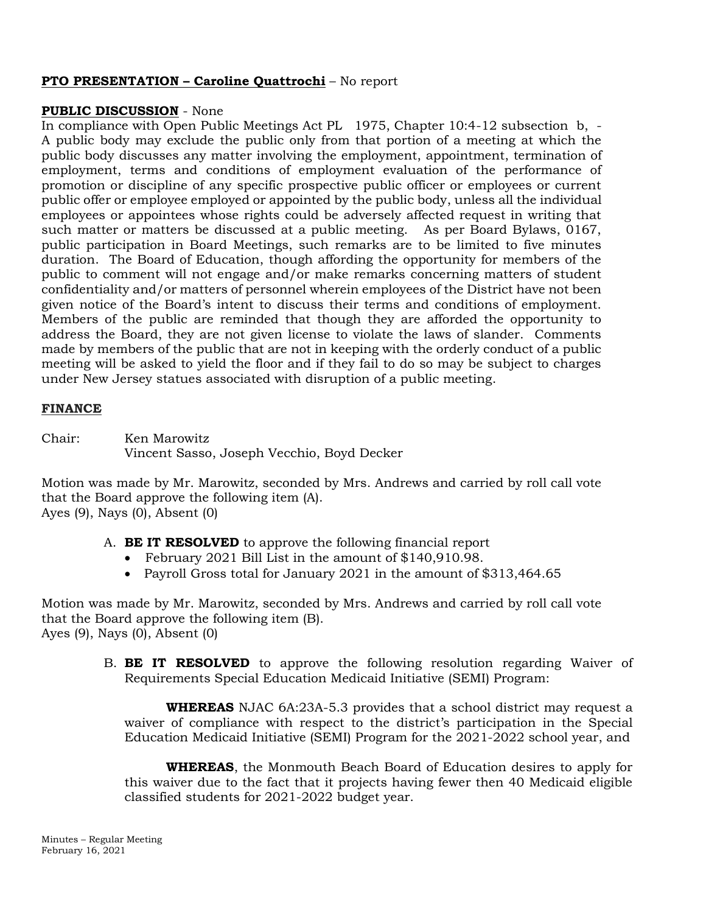# **PTO PRESENTATION – Caroline Quattrochi** – No report

# **PUBLIC DISCUSSION** - None

In compliance with Open Public Meetings Act PL 1975, Chapter 10:4-12 subsection b, - A public body may exclude the public only from that portion of a meeting at which the public body discusses any matter involving the employment, appointment, termination of employment, terms and conditions of employment evaluation of the performance of promotion or discipline of any specific prospective public officer or employees or current public offer or employee employed or appointed by the public body, unless all the individual employees or appointees whose rights could be adversely affected request in writing that such matter or matters be discussed at a public meeting. As per Board Bylaws, 0167, public participation in Board Meetings, such remarks are to be limited to five minutes duration. The Board of Education, though affording the opportunity for members of the public to comment will not engage and/or make remarks concerning matters of student confidentiality and/or matters of personnel wherein employees of the District have not been given notice of the Board's intent to discuss their terms and conditions of employment. Members of the public are reminded that though they are afforded the opportunity to address the Board, they are not given license to violate the laws of slander. Comments made by members of the public that are not in keeping with the orderly conduct of a public meeting will be asked to yield the floor and if they fail to do so may be subject to charges under New Jersey statues associated with disruption of a public meeting.

# **FINANCE**

Chair: Ken Marowitz Vincent Sasso, Joseph Vecchio, Boyd Decker

Motion was made by Mr. Marowitz, seconded by Mrs. Andrews and carried by roll call vote that the Board approve the following item (A). Ayes (9), Nays (0), Absent (0)

- A. **BE IT RESOLVED** to approve the following financial report
	- February 2021 Bill List in the amount of \$140,910.98.
	- Payroll Gross total for January 2021 in the amount of \$313,464.65

Motion was made by Mr. Marowitz, seconded by Mrs. Andrews and carried by roll call vote that the Board approve the following item (B). Ayes (9), Nays (0), Absent (0)

> B. **BE IT RESOLVED** to approve the following resolution regarding Waiver of Requirements Special Education Medicaid Initiative (SEMI) Program:

**WHEREAS** NJAC 6A:23A-5.3 provides that a school district may request a waiver of compliance with respect to the district's participation in the Special Education Medicaid Initiative (SEMI) Program for the 2021-2022 school year, and

**WHEREAS**, the Monmouth Beach Board of Education desires to apply for this waiver due to the fact that it projects having fewer then 40 Medicaid eligible classified students for 2021-2022 budget year.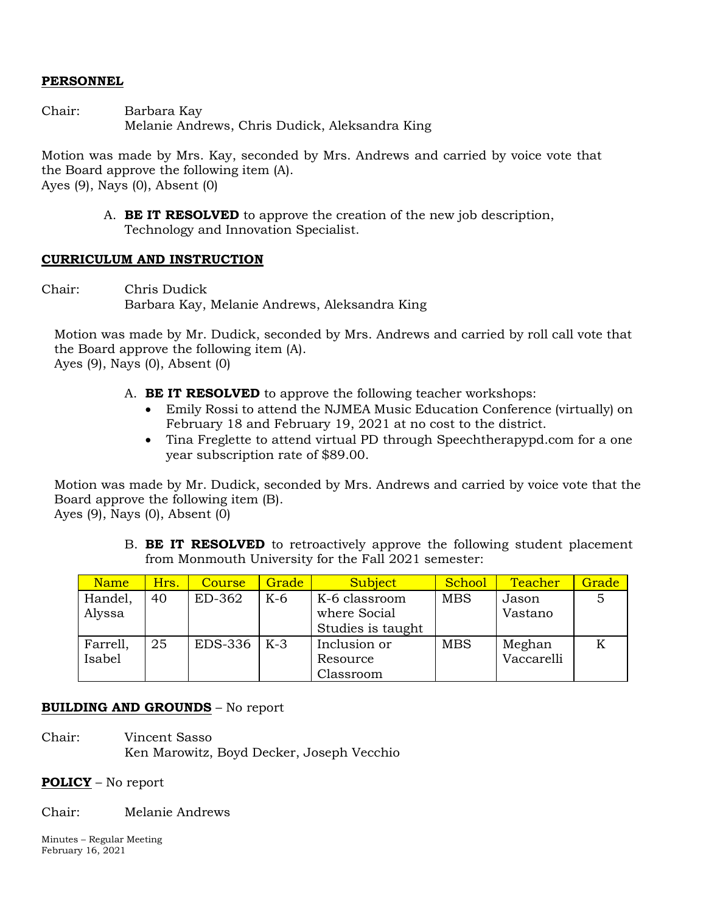# **PERSONNEL**

Chair: Barbara Kay Melanie Andrews, Chris Dudick, Aleksandra King

Motion was made by Mrs. Kay, seconded by Mrs. Andrews and carried by voice vote that the Board approve the following item (A). Ayes (9), Nays (0), Absent (0)

> A. **BE IT RESOLVED** to approve the creation of the new job description, Technology and Innovation Specialist.

# **CURRICULUM AND INSTRUCTION**

Chair: Chris Dudick Barbara Kay, Melanie Andrews, Aleksandra King

Motion was made by Mr. Dudick, seconded by Mrs. Andrews and carried by roll call vote that the Board approve the following item (A). Ayes (9), Nays (0), Absent (0)

- A. **BE IT RESOLVED** to approve the following teacher workshops:
	- Emily Rossi to attend the NJMEA Music Education Conference (virtually) on February 18 and February 19, 2021 at no cost to the district.
	- Tina Freglette to attend virtual PD through Speechtherapypd.com for a one year subscription rate of \$89.00.

Motion was made by Mr. Dudick, seconded by Mrs. Andrews and carried by voice vote that the Board approve the following item (B). Ayes (9), Nays (0), Absent (0)

> B. **BE IT RESOLVED** to retroactively approve the following student placement from Monmouth University for the Fall 2021 semester:

| Name     | Hrs. | <b>Course</b> | Grade | <b>Subject</b>    | School     | <b>Teacher</b> | Grade |
|----------|------|---------------|-------|-------------------|------------|----------------|-------|
| Handel,  | 40   | ED-362        | K-6   | K-6 classroom     | <b>MBS</b> | Jason          |       |
| Alyssa   |      |               |       | where Social      |            | Vastano        |       |
|          |      |               |       | Studies is taught |            |                |       |
| Farrell, | 25   | EDS-336       | $K-3$ | Inclusion or      | <b>MBS</b> | Meghan         |       |
| Isabel   |      |               |       | Resource          |            | Vaccarelli     |       |
|          |      |               |       | Classroom         |            |                |       |

# **BUILDING AND GROUNDS** – No report

Chair: Vincent Sasso Ken Marowitz, Boyd Decker, Joseph Vecchio

# **POLICY** – No report

Chair: Melanie Andrews

Minutes – Regular Meeting February 16, 2021